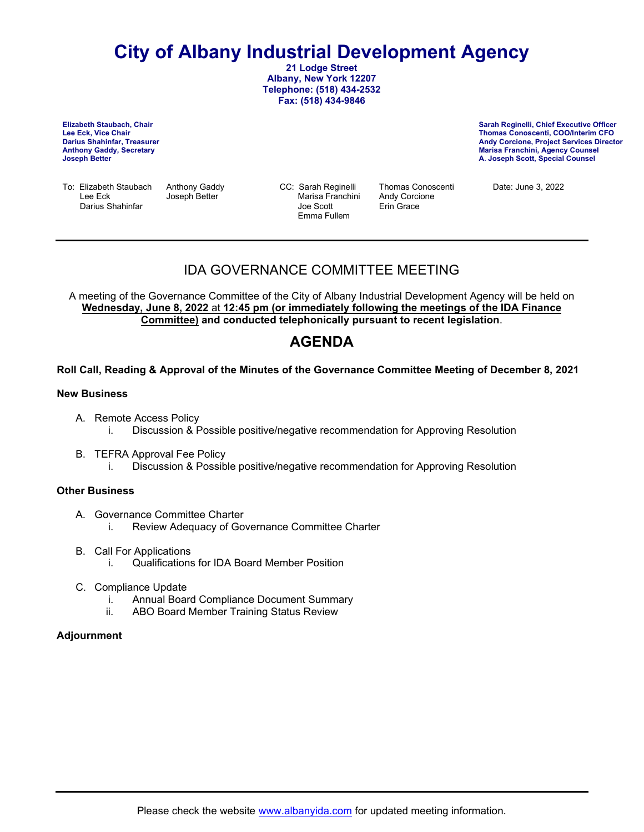# **City of Albany Industrial Development Agency**

**21 Lodge Street Albany, New York 12207 Telephone: (518) 434-2532 Fax: (518) 434-9846**

**Elizabeth Staubach, Chair Lee Eck, Vice Chair Anthony Gaddy, Secretary Joseph Better**

**Sarah Reginelli, Chief Executive Officer Thomas Conoscenti, COO/Interim CFO Andy Corcione, Project Services Director Marisa Franchini, Agency Counsel A. Joseph Scott, Special Counsel**

To: Elizabeth Staubach Anthony Gaddy CC: Sarah Reginelli Thomas Conoscenti Date: June 3, 2022 Darius Shahinfar

Marisa Franchini Andy Corci<br>Joe Scott **Andy Corcional** Emma Fullem

# IDA GOVERNANCE COMMITTEE MEETING

A meeting of the Governance Committee of the City of Albany Industrial Development Agency will be held on **Wednesday, June 8, 2022** at **12:45 pm (or immediately following the meetings of the IDA Finance Committee) and conducted telephonically pursuant to recent legislation**.

# **AGENDA**

### **Roll Call, Reading & Approval of the Minutes of the Governance Committee Meeting of December 8, 2021**

### **New Business**

- A. Remote Access Policy i. Discussion & Possible positive/negative recommendation for Approving Resolution
- B. TEFRA Approval Fee Policy i. Discussion & Possible positive/negative recommendation for Approving Resolution

### **Other Business**

- A. Governance Committee Charter i. Review Adequacy of Governance Committee Charter
- B. Call For Applications
	- i. Qualifications for IDA Board Member Position
- C. Compliance Update
	- i. Annual Board Compliance Document Summary
	- ii. ABO Board Member Training Status Review

### **Adjournment**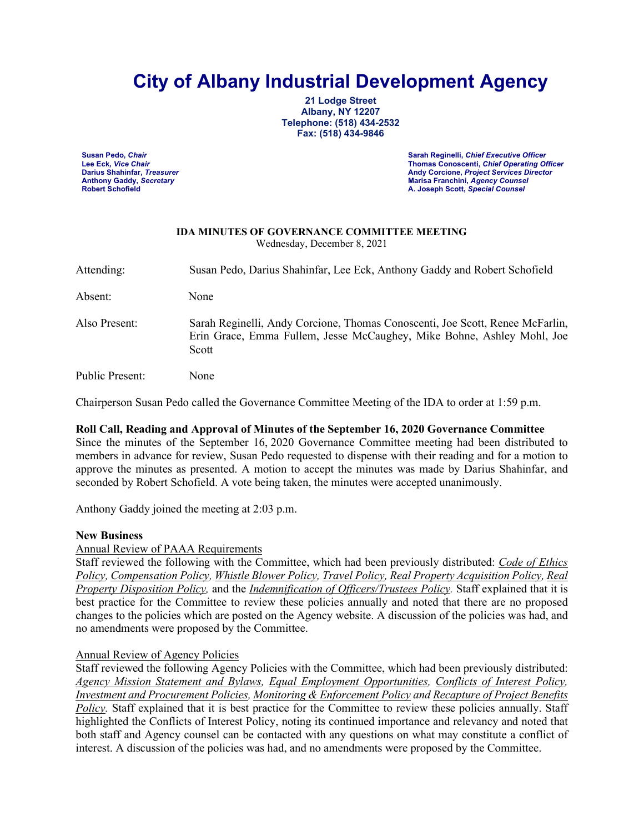# **City of Albany Industrial Development Agency**

**21 Lodge Street Albany, NY 12207 Telephone: (518) 434-2532 Fax: (518) 434-9846**

**Susan Pedo,** *Chair* **Sarah Reginelli,** *Chief Executive Officer* **Lee Eck***, Vice Chair* **Thomas Conoscenti,** *Chief Operating Officer* **Darius Shahinfar,** *Treasurer* **Andy Corcione,** *Project Services Director* **Anthony Gaddy,** *Secretary* **Marisa Franchini,** *Agency Counsel* **Robert Schofield A. Joseph Scott,** *Special Counsel*

#### **IDA MINUTES OF GOVERNANCE COMMITTEE MEETING** Wednesday, December 8, 2021

Attending: Susan Pedo, Darius Shahinfar, Lee Eck, Anthony Gaddy and Robert Schofield Absent: None Also Present: Sarah Reginelli, Andy Corcione, Thomas Conoscenti, Joe Scott, Renee McFarlin, Erin Grace, Emma Fullem, Jesse McCaughey, Mike Bohne, Ashley Mohl, Joe Scott Public Present: None

Chairperson Susan Pedo called the Governance Committee Meeting of the IDA to order at 1:59 p.m.

### **Roll Call, Reading and Approval of Minutes of the September 16, 2020 Governance Committee**

Since the minutes of the September 16, 2020 Governance Committee meeting had been distributed to members in advance for review, Susan Pedo requested to dispense with their reading and for a motion to approve the minutes as presented. A motion to accept the minutes was made by Darius Shahinfar, and seconded by Robert Schofield. A vote being taken, the minutes were accepted unanimously.

Anthony Gaddy joined the meeting at 2:03 p.m.

### **New Business**

Annual Review of PAAA Requirements

Staff reviewed the following with the Committee, which had been previously distributed: *Code of Ethics Policy, Compensation Policy, Whistle Blower Policy, Travel Policy, Real Property Acquisition Policy, Real Property Disposition Policy,* and the *Indemnification of Officers/Trustees Policy.* Staff explained that it is best practice for the Committee to review these policies annually and noted that there are no proposed changes to the policies which are posted on the Agency website. A discussion of the policies was had, and no amendments were proposed by the Committee.

### Annual Review of Agency Policies

Staff reviewed the following Agency Policies with the Committee, which had been previously distributed: *Agency Mission Statement and Bylaws, Equal Employment Opportunities, Conflicts of Interest Policy, Investment and Procurement Policies, Monitoring & Enforcement Policy and Recapture of Project Benefits Policy.* Staff explained that it is best practice for the Committee to review these policies annually. Staff highlighted the Conflicts of Interest Policy, noting its continued importance and relevancy and noted that both staff and Agency counsel can be contacted with any questions on what may constitute a conflict of interest. A discussion of the policies was had, and no amendments were proposed by the Committee.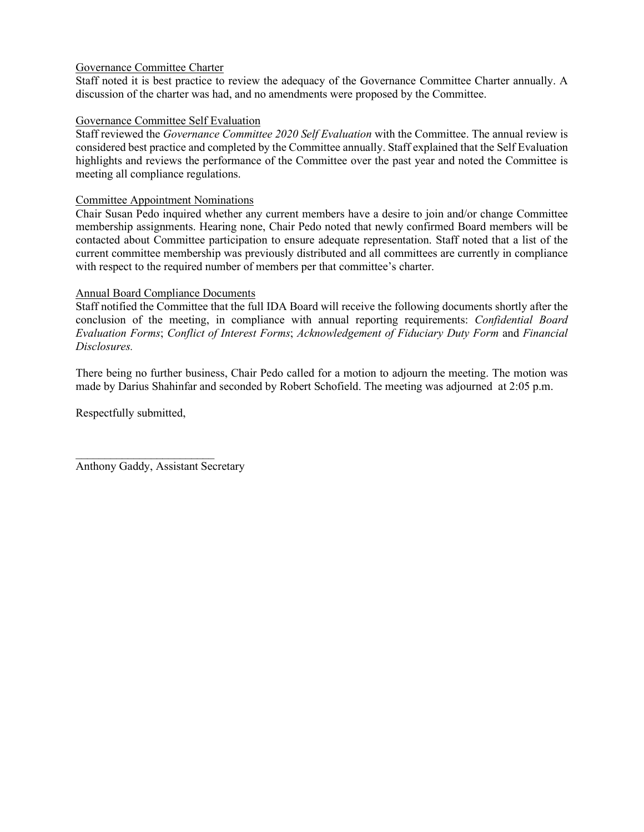### Governance Committee Charter

Staff noted it is best practice to review the adequacy of the Governance Committee Charter annually. A discussion of the charter was had, and no amendments were proposed by the Committee.

### Governance Committee Self Evaluation

Staff reviewed the *Governance Committee 2020 Self Evaluation* with the Committee. The annual review is considered best practice and completed by the Committee annually. Staff explained that the Self Evaluation highlights and reviews the performance of the Committee over the past year and noted the Committee is meeting all compliance regulations.

### Committee Appointment Nominations

Chair Susan Pedo inquired whether any current members have a desire to join and/or change Committee membership assignments. Hearing none, Chair Pedo noted that newly confirmed Board members will be contacted about Committee participation to ensure adequate representation. Staff noted that a list of the current committee membership was previously distributed and all committees are currently in compliance with respect to the required number of members per that committee's charter.

### Annual Board Compliance Documents

Staff notified the Committee that the full IDA Board will receive the following documents shortly after the conclusion of the meeting, in compliance with annual reporting requirements: *Confidential Board Evaluation Forms*; *Conflict of Interest Forms*; *Acknowledgement of Fiduciary Duty Form* and *Financial Disclosures.*

There being no further business, Chair Pedo called for a motion to adjourn the meeting. The motion was made by Darius Shahinfar and seconded by Robert Schofield. The meeting was adjourned at 2:05 p.m.

Respectfully submitted,

Anthony Gaddy, Assistant Secretary

 $\overline{\phantom{a}}$  , where  $\overline{\phantom{a}}$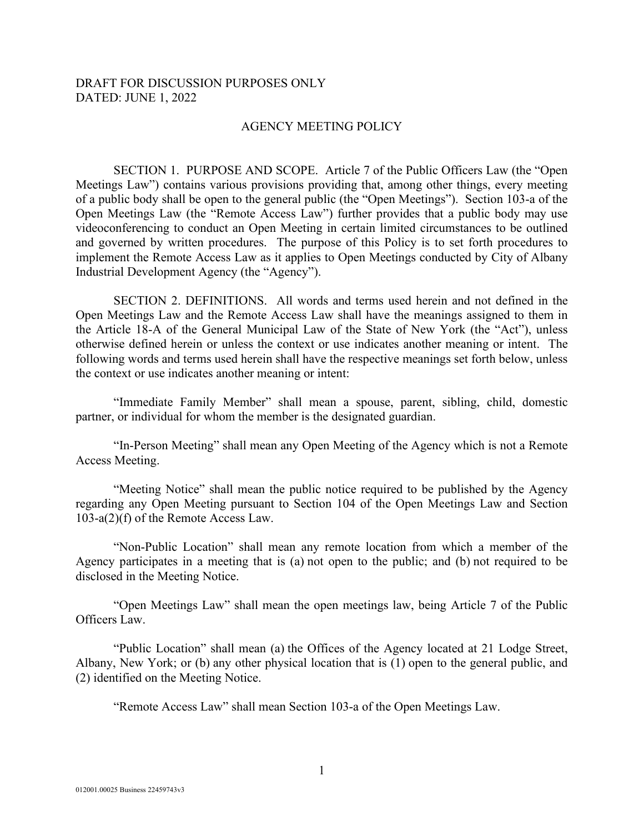### DRAFT FOR DISCUSSION PURPOSES ONLY DATED: JUNE 1, 2022

### AGENCY MEETING POLICY

SECTION 1. PURPOSE AND SCOPE. Article 7 of the Public Officers Law (the "Open Meetings Law") contains various provisions providing that, among other things, every meeting of a public body shall be open to the general public (the "Open Meetings"). Section 103-a of the Open Meetings Law (the "Remote Access Law") further provides that a public body may use videoconferencing to conduct an Open Meeting in certain limited circumstances to be outlined and governed by written procedures. The purpose of this Policy is to set forth procedures to implement the Remote Access Law as it applies to Open Meetings conducted by City of Albany Industrial Development Agency (the "Agency").

SECTION 2. DEFINITIONS. All words and terms used herein and not defined in the Open Meetings Law and the Remote Access Law shall have the meanings assigned to them in the Article 18-A of the General Municipal Law of the State of New York (the "Act"), unless otherwise defined herein or unless the context or use indicates another meaning or intent. The following words and terms used herein shall have the respective meanings set forth below, unless the context or use indicates another meaning or intent:

"Immediate Family Member" shall mean a spouse, parent, sibling, child, domestic partner, or individual for whom the member is the designated guardian.

"In-Person Meeting" shall mean any Open Meeting of the Agency which is not a Remote Access Meeting.

"Meeting Notice" shall mean the public notice required to be published by the Agency regarding any Open Meeting pursuant to Section 104 of the Open Meetings Law and Section 103-a(2)(f) of the Remote Access Law.

"Non-Public Location" shall mean any remote location from which a member of the Agency participates in a meeting that is (a) not open to the public; and (b) not required to be disclosed in the Meeting Notice.

"Open Meetings Law" shall mean the open meetings law, being Article 7 of the Public Officers Law.

"Public Location" shall mean (a) the Offices of the Agency located at 21 Lodge Street, Albany, New York; or (b) any other physical location that is (1) open to the general public, and (2) identified on the Meeting Notice.

"Remote Access Law" shall mean Section 103-a of the Open Meetings Law.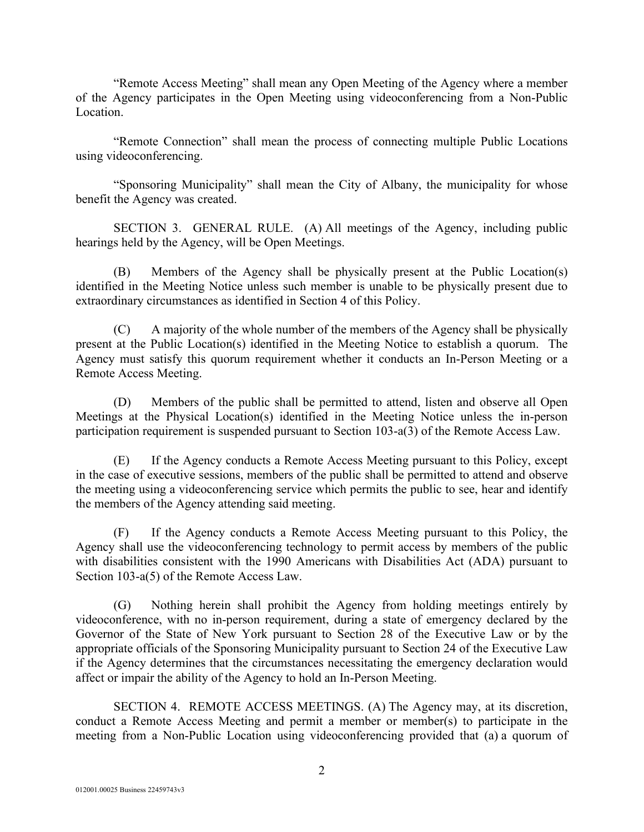"Remote Access Meeting" shall mean any Open Meeting of the Agency where a member of the Agency participates in the Open Meeting using videoconferencing from a Non-Public Location.

"Remote Connection" shall mean the process of connecting multiple Public Locations using videoconferencing.

"Sponsoring Municipality" shall mean the City of Albany, the municipality for whose benefit the Agency was created.

SECTION 3. GENERAL RULE. (A) All meetings of the Agency, including public hearings held by the Agency, will be Open Meetings.

(B) Members of the Agency shall be physically present at the Public Location(s) identified in the Meeting Notice unless such member is unable to be physically present due to extraordinary circumstances as identified in Section 4 of this Policy.

(C) A majority of the whole number of the members of the Agency shall be physically present at the Public Location(s) identified in the Meeting Notice to establish a quorum. The Agency must satisfy this quorum requirement whether it conducts an In-Person Meeting or a Remote Access Meeting.

(D) Members of the public shall be permitted to attend, listen and observe all Open Meetings at the Physical Location(s) identified in the Meeting Notice unless the in-person participation requirement is suspended pursuant to Section 103-a(3) of the Remote Access Law.

(E) If the Agency conducts a Remote Access Meeting pursuant to this Policy, except in the case of executive sessions, members of the public shall be permitted to attend and observe the meeting using a videoconferencing service which permits the public to see, hear and identify the members of the Agency attending said meeting.

(F) If the Agency conducts a Remote Access Meeting pursuant to this Policy, the Agency shall use the videoconferencing technology to permit access by members of the public with disabilities consistent with the 1990 Americans with Disabilities Act (ADA) pursuant to Section 103-a(5) of the Remote Access Law.

(G) Nothing herein shall prohibit the Agency from holding meetings entirely by videoconference, with no in-person requirement, during a state of emergency declared by the Governor of the State of New York pursuant to Section 28 of the Executive Law or by the appropriate officials of the Sponsoring Municipality pursuant to Section 24 of the Executive Law if the Agency determines that the circumstances necessitating the emergency declaration would affect or impair the ability of the Agency to hold an In-Person Meeting.

SECTION 4. REMOTE ACCESS MEETINGS. (A) The Agency may, at its discretion, conduct a Remote Access Meeting and permit a member or member(s) to participate in the meeting from a Non-Public Location using videoconferencing provided that (a) a quorum of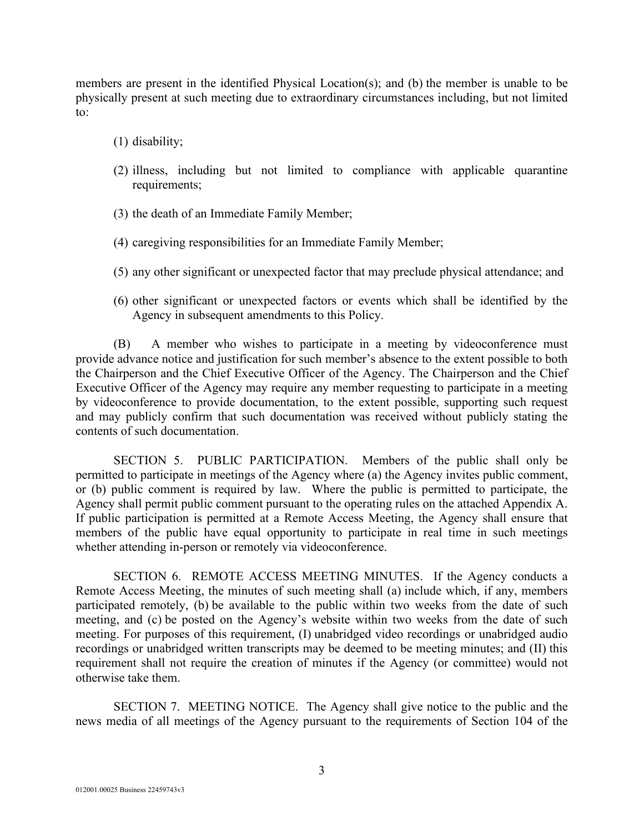members are present in the identified Physical Location(s); and (b) the member is unable to be physically present at such meeting due to extraordinary circumstances including, but not limited to:

- (1) disability;
- (2) illness, including but not limited to compliance with applicable quarantine requirements;
- (3) the death of an Immediate Family Member;
- (4) caregiving responsibilities for an Immediate Family Member;
- (5) any other significant or unexpected factor that may preclude physical attendance; and
- (6) other significant or unexpected factors or events which shall be identified by the Agency in subsequent amendments to this Policy.

(B) A member who wishes to participate in a meeting by videoconference must provide advance notice and justification for such member's absence to the extent possible to both the Chairperson and the Chief Executive Officer of the Agency. The Chairperson and the Chief Executive Officer of the Agency may require any member requesting to participate in a meeting by videoconference to provide documentation, to the extent possible, supporting such request and may publicly confirm that such documentation was received without publicly stating the contents of such documentation.

SECTION 5. PUBLIC PARTICIPATION. Members of the public shall only be permitted to participate in meetings of the Agency where (a) the Agency invites public comment, or (b) public comment is required by law. Where the public is permitted to participate, the Agency shall permit public comment pursuant to the operating rules on the attached Appendix A. If public participation is permitted at a Remote Access Meeting, the Agency shall ensure that members of the public have equal opportunity to participate in real time in such meetings whether attending in-person or remotely via videoconference.

SECTION 6. REMOTE ACCESS MEETING MINUTES. If the Agency conducts a Remote Access Meeting, the minutes of such meeting shall (a) include which, if any, members participated remotely, (b) be available to the public within two weeks from the date of such meeting, and (c) be posted on the Agency's website within two weeks from the date of such meeting. For purposes of this requirement, (I) unabridged video recordings or unabridged audio recordings or unabridged written transcripts may be deemed to be meeting minutes; and (II) this requirement shall not require the creation of minutes if the Agency (or committee) would not otherwise take them.

SECTION 7. MEETING NOTICE. The Agency shall give notice to the public and the news media of all meetings of the Agency pursuant to the requirements of Section 104 of the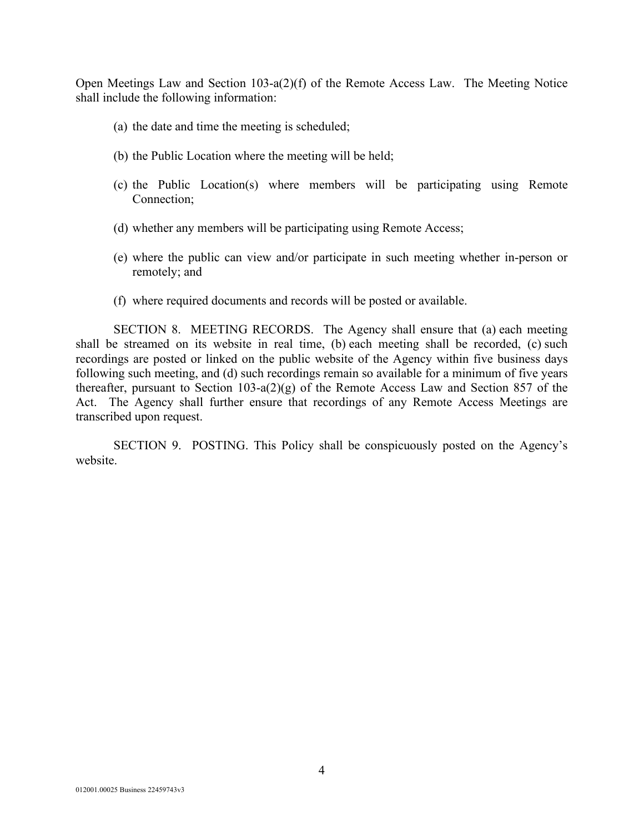Open Meetings Law and Section 103-a(2)(f) of the Remote Access Law. The Meeting Notice shall include the following information:

- (a) the date and time the meeting is scheduled;
- (b) the Public Location where the meeting will be held;
- (c) the Public Location(s) where members will be participating using Remote Connection;
- (d) whether any members will be participating using Remote Access;
- (e) where the public can view and/or participate in such meeting whether in-person or remotely; and
- (f) where required documents and records will be posted or available.

SECTION 8. MEETING RECORDS. The Agency shall ensure that (a) each meeting shall be streamed on its website in real time, (b) each meeting shall be recorded, (c) such recordings are posted or linked on the public website of the Agency within five business days following such meeting, and (d) such recordings remain so available for a minimum of five years thereafter, pursuant to Section 103-a(2)(g) of the Remote Access Law and Section 857 of the Act. The Agency shall further ensure that recordings of any Remote Access Meetings are transcribed upon request.

SECTION 9. POSTING. This Policy shall be conspicuously posted on the Agency's website.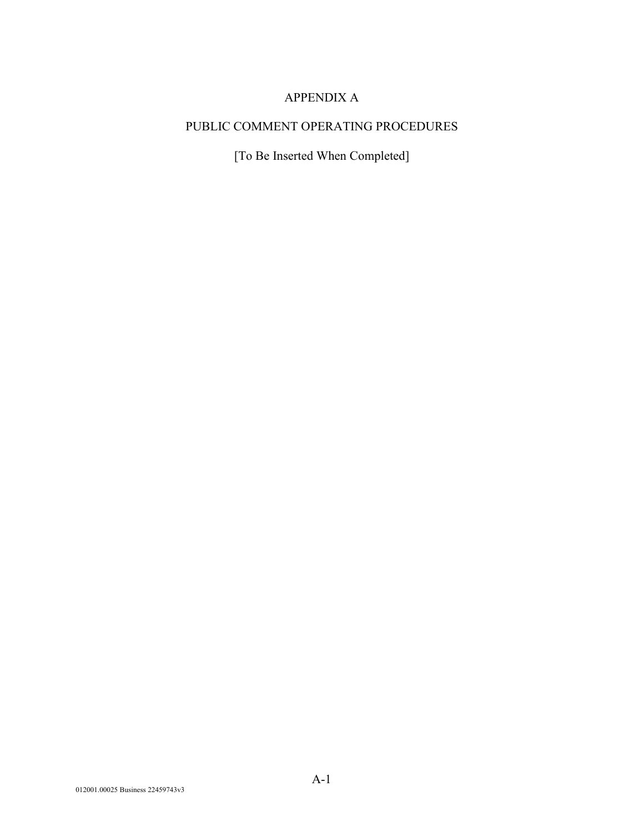# APPENDIX A

# PUBLIC COMMENT OPERATING PROCEDURES

[To Be Inserted When Completed]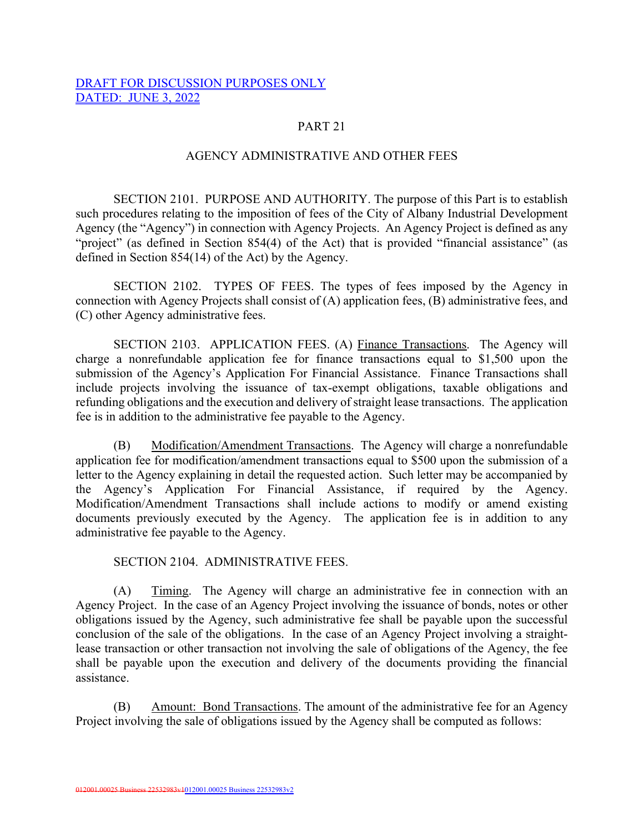### DRAFT FOR DISCUSSION PURPOSES ONLY DATED: JUNE 3, 2022

## PART 21

### AGENCY ADMINISTRATIVE AND OTHER FEES

SECTION 2101. PURPOSE AND AUTHORITY. The purpose of this Part is to establish such procedures relating to the imposition of fees of the City of Albany Industrial Development Agency (the "Agency") in connection with Agency Projects. An Agency Project is defined as any "project" (as defined in Section 854(4) of the Act) that is provided "financial assistance" (as defined in Section 854(14) of the Act) by the Agency.

SECTION 2102. TYPES OF FEES. The types of fees imposed by the Agency in connection with Agency Projects shall consist of (A) application fees, (B) administrative fees, and (C) other Agency administrative fees.

SECTION 2103. APPLICATION FEES. (A) Finance Transactions. The Agency will charge a nonrefundable application fee for finance transactions equal to \$1,500 upon the submission of the Agency's Application For Financial Assistance. Finance Transactions shall include projects involving the issuance of tax-exempt obligations, taxable obligations and refunding obligations and the execution and delivery of straight lease transactions. The application fee is in addition to the administrative fee payable to the Agency.

(B) Modification/Amendment Transactions. The Agency will charge a nonrefundable application fee for modification/amendment transactions equal to \$500 upon the submission of a letter to the Agency explaining in detail the requested action. Such letter may be accompanied by the Agency's Application For Financial Assistance, if required by the Agency. Modification/Amendment Transactions shall include actions to modify or amend existing documents previously executed by the Agency. The application fee is in addition to any administrative fee payable to the Agency.

SECTION 2104. ADMINISTRATIVE FEES.

(A) Timing. The Agency will charge an administrative fee in connection with an Agency Project. In the case of an Agency Project involving the issuance of bonds, notes or other obligations issued by the Agency, such administrative fee shall be payable upon the successful conclusion of the sale of the obligations. In the case of an Agency Project involving a straightlease transaction or other transaction not involving the sale of obligations of the Agency, the fee shall be payable upon the execution and delivery of the documents providing the financial assistance.

(B) Amount: Bond Transactions. The amount of the administrative fee for an Agency Project involving the sale of obligations issued by the Agency shall be computed as follows: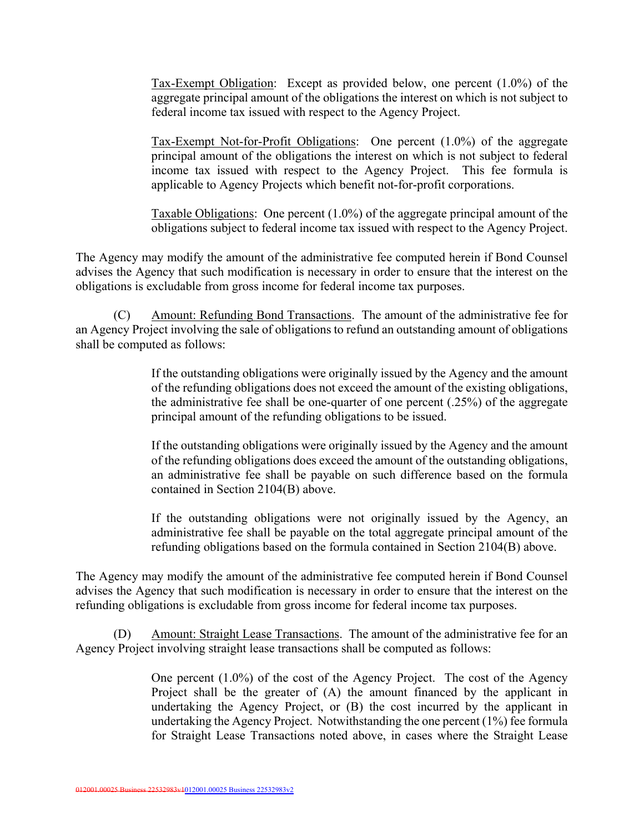Tax-Exempt Obligation: Except as provided below, one percent (1.0%) of the aggregate principal amount of the obligations the interest on which is not subject to federal income tax issued with respect to the Agency Project.

Tax-Exempt Not-for-Profit Obligations: One percent (1.0%) of the aggregate principal amount of the obligations the interest on which is not subject to federal income tax issued with respect to the Agency Project. This fee formula is applicable to Agency Projects which benefit not-for-profit corporations.

Taxable Obligations: One percent (1.0%) of the aggregate principal amount of the obligations subject to federal income tax issued with respect to the Agency Project.

The Agency may modify the amount of the administrative fee computed herein if Bond Counsel advises the Agency that such modification is necessary in order to ensure that the interest on the obligations is excludable from gross income for federal income tax purposes.

(C) Amount: Refunding Bond Transactions. The amount of the administrative fee for an Agency Project involving the sale of obligations to refund an outstanding amount of obligations shall be computed as follows:

> If the outstanding obligations were originally issued by the Agency and the amount of the refunding obligations does not exceed the amount of the existing obligations, the administrative fee shall be one-quarter of one percent (.25%) of the aggregate principal amount of the refunding obligations to be issued.

> If the outstanding obligations were originally issued by the Agency and the amount of the refunding obligations does exceed the amount of the outstanding obligations, an administrative fee shall be payable on such difference based on the formula contained in Section 2104(B) above.

> If the outstanding obligations were not originally issued by the Agency, an administrative fee shall be payable on the total aggregate principal amount of the refunding obligations based on the formula contained in Section 2104(B) above.

The Agency may modify the amount of the administrative fee computed herein if Bond Counsel advises the Agency that such modification is necessary in order to ensure that the interest on the refunding obligations is excludable from gross income for federal income tax purposes.

(D) Amount: Straight Lease Transactions. The amount of the administrative fee for an Agency Project involving straight lease transactions shall be computed as follows:

> One percent (1.0%) of the cost of the Agency Project. The cost of the Agency Project shall be the greater of (A) the amount financed by the applicant in undertaking the Agency Project, or (B) the cost incurred by the applicant in undertaking the Agency Project. Notwithstanding the one percent (1%) fee formula for Straight Lease Transactions noted above, in cases where the Straight Lease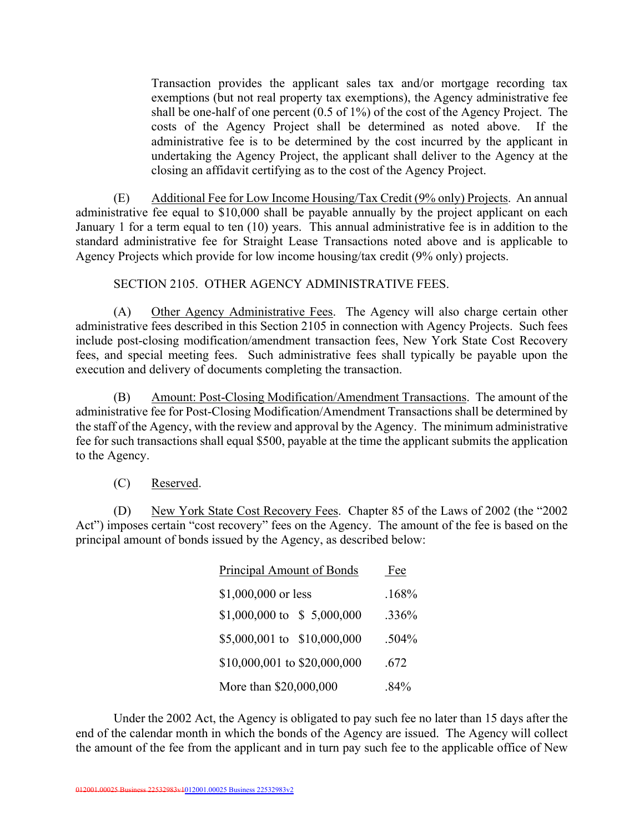Transaction provides the applicant sales tax and/or mortgage recording tax exemptions (but not real property tax exemptions), the Agency administrative fee shall be one-half of one percent (0.5 of 1%) of the cost of the Agency Project. The costs of the Agency Project shall be determined as noted above. If the administrative fee is to be determined by the cost incurred by the applicant in undertaking the Agency Project, the applicant shall deliver to the Agency at the closing an affidavit certifying as to the cost of the Agency Project.

(E) Additional Fee for Low Income Housing/Tax Credit (9% only) Projects. An annual administrative fee equal to \$10,000 shall be payable annually by the project applicant on each January 1 for a term equal to ten (10) years. This annual administrative fee is in addition to the standard administrative fee for Straight Lease Transactions noted above and is applicable to Agency Projects which provide for low income housing/tax credit (9% only) projects.

SECTION 2105. OTHER AGENCY ADMINISTRATIVE FEES.

(A) Other Agency Administrative Fees. The Agency will also charge certain other administrative fees described in this Section 2105 in connection with Agency Projects. Such fees include post-closing modification/amendment transaction fees, New York State Cost Recovery fees, and special meeting fees. Such administrative fees shall typically be payable upon the execution and delivery of documents completing the transaction.

(B) Amount: Post-Closing Modification/Amendment Transactions. The amount of the administrative fee for Post-Closing Modification/Amendment Transactions shall be determined by the staff of the Agency, with the review and approval by the Agency. The minimum administrative fee for such transactions shall equal \$500, payable at the time the applicant submits the application to the Agency.

(C) Reserved.

(D) New York State Cost Recovery Fees. Chapter 85 of the Laws of 2002 (the "2002 Act") imposes certain "cost recovery" fees on the Agency. The amount of the fee is based on the principal amount of bonds issued by the Agency, as described below:

| Principal Amount of Bonds    | Fee     |
|------------------------------|---------|
| \$1,000,000 or less          | .168%   |
| \$1,000,000 to \$5,000,000   | .336%   |
| \$5,000,001 to \$10,000,000  | .504%   |
| \$10,000,001 to \$20,000,000 | .672    |
| More than \$20,000,000       | $.84\%$ |

Under the 2002 Act, the Agency is obligated to pay such fee no later than 15 days after the end of the calendar month in which the bonds of the Agency are issued. The Agency will collect the amount of the fee from the applicant and in turn pay such fee to the applicable office of New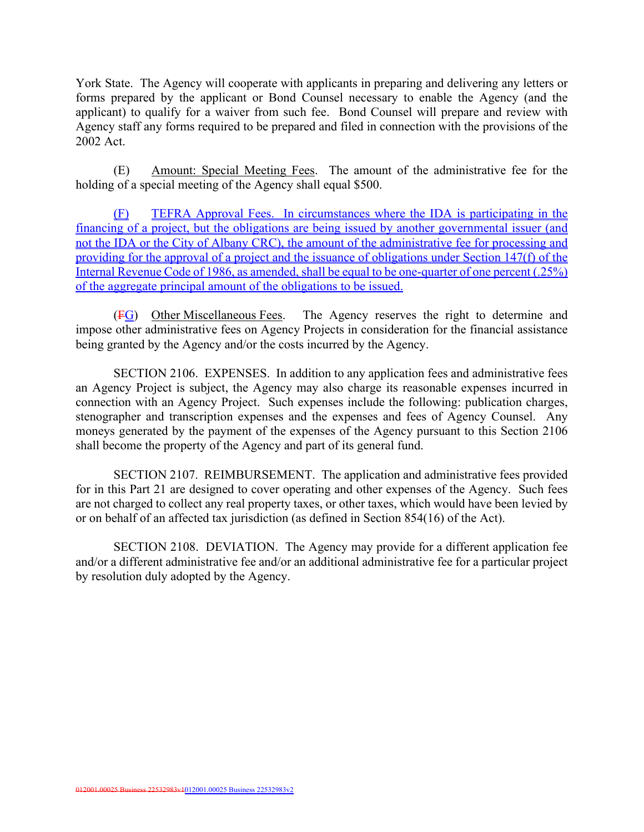York State. The Agency will cooperate with applicants in preparing and delivering any letters or forms prepared by the applicant or Bond Counsel necessary to enable the Agency (and the applicant) to qualify for a waiver from such fee. Bond Counsel will prepare and review with Agency staff any forms required to be prepared and filed in connection with the provisions of the 2002 Act.

(E) Amount: Special Meeting Fees. The amount of the administrative fee for the holding of a special meeting of the Agency shall equal \$500.

(F) TEFRA Approval Fees. In circumstances where the IDA is participating in the financing of a project, but the obligations are being issued by another governmental issuer (and not the IDA or the City of Albany CRC), the amount of the administrative fee for processing and providing for the approval of a project and the issuance of obligations under Section 147(f) of the Internal Revenue Code of 1986, as amended, shall be equal to be one-quarter of one percent (.25%) of the aggregate principal amount of the obligations to be issued.

(FG) Other Miscellaneous Fees. The Agency reserves the right to determine and impose other administrative fees on Agency Projects in consideration for the financial assistance being granted by the Agency and/or the costs incurred by the Agency.

SECTION 2106. EXPENSES. In addition to any application fees and administrative fees an Agency Project is subject, the Agency may also charge its reasonable expenses incurred in connection with an Agency Project. Such expenses include the following: publication charges, stenographer and transcription expenses and the expenses and fees of Agency Counsel. Any moneys generated by the payment of the expenses of the Agency pursuant to this Section 2106 shall become the property of the Agency and part of its general fund.

SECTION 2107. REIMBURSEMENT. The application and administrative fees provided for in this Part 21 are designed to cover operating and other expenses of the Agency. Such fees are not charged to collect any real property taxes, or other taxes, which would have been levied by or on behalf of an affected tax jurisdiction (as defined in Section 854(16) of the Act).

SECTION 2108. DEVIATION. The Agency may provide for a different application fee and/or a different administrative fee and/or an additional administrative fee for a particular project by resolution duly adopted by the Agency.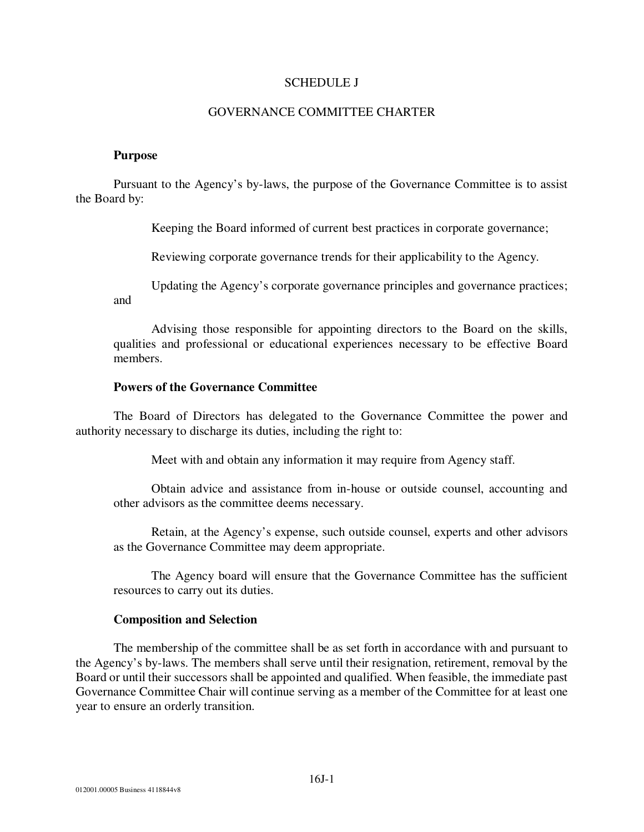### SCHEDULE J

### GOVERNANCE COMMITTEE CHARTER

### **Purpose**

Pursuant to the Agency's by-laws, the purpose of the Governance Committee is to assist the Board by:

Keeping the Board informed of current best practices in corporate governance;

Reviewing corporate governance trends for their applicability to the Agency.

Updating the Agency's corporate governance principles and governance practices; and

Advising those responsible for appointing directors to the Board on the skills, qualities and professional or educational experiences necessary to be effective Board members.

### **Powers of the Governance Committee**

The Board of Directors has delegated to the Governance Committee the power and authority necessary to discharge its duties, including the right to:

Meet with and obtain any information it may require from Agency staff.

Obtain advice and assistance from in-house or outside counsel, accounting and other advisors as the committee deems necessary.

Retain, at the Agency's expense, such outside counsel, experts and other advisors as the Governance Committee may deem appropriate.

The Agency board will ensure that the Governance Committee has the sufficient resources to carry out its duties.

### **Composition and Selection**

The membership of the committee shall be as set forth in accordance with and pursuant to the Agency's by-laws. The members shall serve until their resignation, retirement, removal by the Board or until their successors shall be appointed and qualified. When feasible, the immediate past Governance Committee Chair will continue serving as a member of the Committee for at least one year to ensure an orderly transition.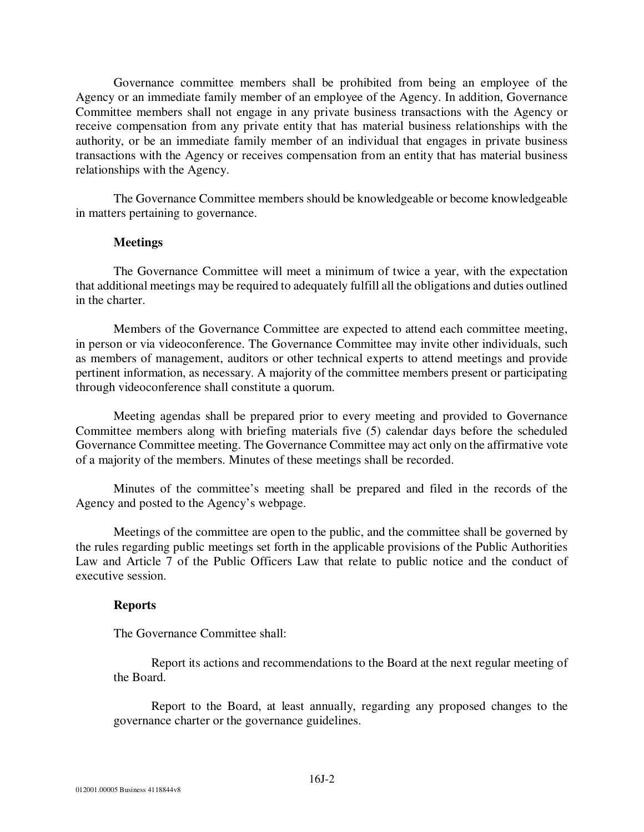Governance committee members shall be prohibited from being an employee of the Agency or an immediate family member of an employee of the Agency. In addition, Governance Committee members shall not engage in any private business transactions with the Agency or receive compensation from any private entity that has material business relationships with the authority, or be an immediate family member of an individual that engages in private business transactions with the Agency or receives compensation from an entity that has material business relationships with the Agency.

The Governance Committee members should be knowledgeable or become knowledgeable in matters pertaining to governance.

### **Meetings**

The Governance Committee will meet a minimum of twice a year, with the expectation that additional meetings may be required to adequately fulfill all the obligations and duties outlined in the charter.

Members of the Governance Committee are expected to attend each committee meeting, in person or via videoconference. The Governance Committee may invite other individuals, such as members of management, auditors or other technical experts to attend meetings and provide pertinent information, as necessary. A majority of the committee members present or participating through videoconference shall constitute a quorum.

Meeting agendas shall be prepared prior to every meeting and provided to Governance Committee members along with briefing materials five (5) calendar days before the scheduled Governance Committee meeting. The Governance Committee may act only on the affirmative vote of a majority of the members. Minutes of these meetings shall be recorded.

Minutes of the committee's meeting shall be prepared and filed in the records of the Agency and posted to the Agency's webpage.

Meetings of the committee are open to the public, and the committee shall be governed by the rules regarding public meetings set forth in the applicable provisions of the Public Authorities Law and Article 7 of the Public Officers Law that relate to public notice and the conduct of executive session.

### **Reports**

The Governance Committee shall:

Report its actions and recommendations to the Board at the next regular meeting of the Board.

Report to the Board, at least annually, regarding any proposed changes to the governance charter or the governance guidelines.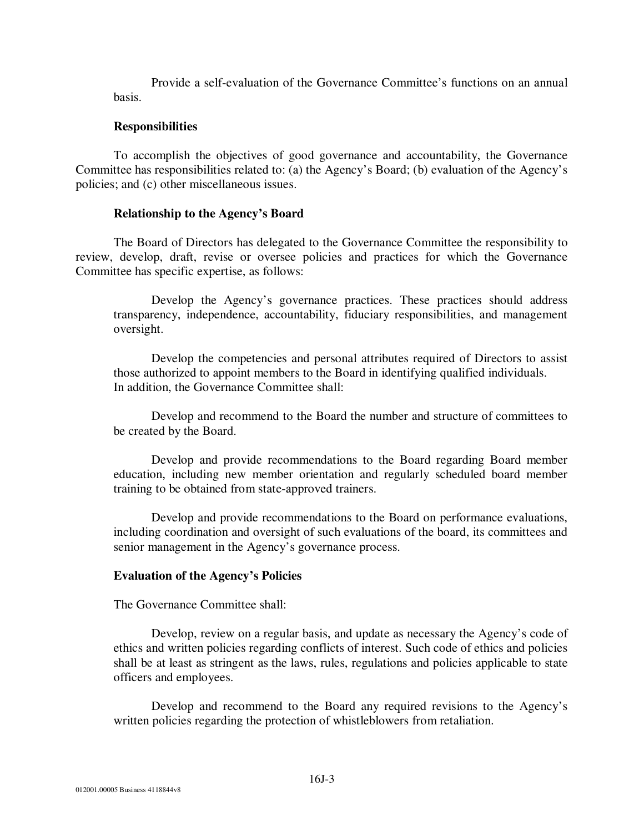Provide a self-evaluation of the Governance Committee's functions on an annual basis.

### **Responsibilities**

To accomplish the objectives of good governance and accountability, the Governance Committee has responsibilities related to: (a) the Agency's Board; (b) evaluation of the Agency's policies; and (c) other miscellaneous issues.

### **Relationship to the Agency's Board**

The Board of Directors has delegated to the Governance Committee the responsibility to review, develop, draft, revise or oversee policies and practices for which the Governance Committee has specific expertise, as follows:

Develop the Agency's governance practices. These practices should address transparency, independence, accountability, fiduciary responsibilities, and management oversight.

Develop the competencies and personal attributes required of Directors to assist those authorized to appoint members to the Board in identifying qualified individuals. In addition, the Governance Committee shall:

Develop and recommend to the Board the number and structure of committees to be created by the Board.

Develop and provide recommendations to the Board regarding Board member education, including new member orientation and regularly scheduled board member training to be obtained from state-approved trainers.

Develop and provide recommendations to the Board on performance evaluations, including coordination and oversight of such evaluations of the board, its committees and senior management in the Agency's governance process.

### **Evaluation of the Agency's Policies**

The Governance Committee shall:

Develop, review on a regular basis, and update as necessary the Agency's code of ethics and written policies regarding conflicts of interest. Such code of ethics and policies shall be at least as stringent as the laws, rules, regulations and policies applicable to state officers and employees.

Develop and recommend to the Board any required revisions to the Agency's written policies regarding the protection of whistleblowers from retaliation.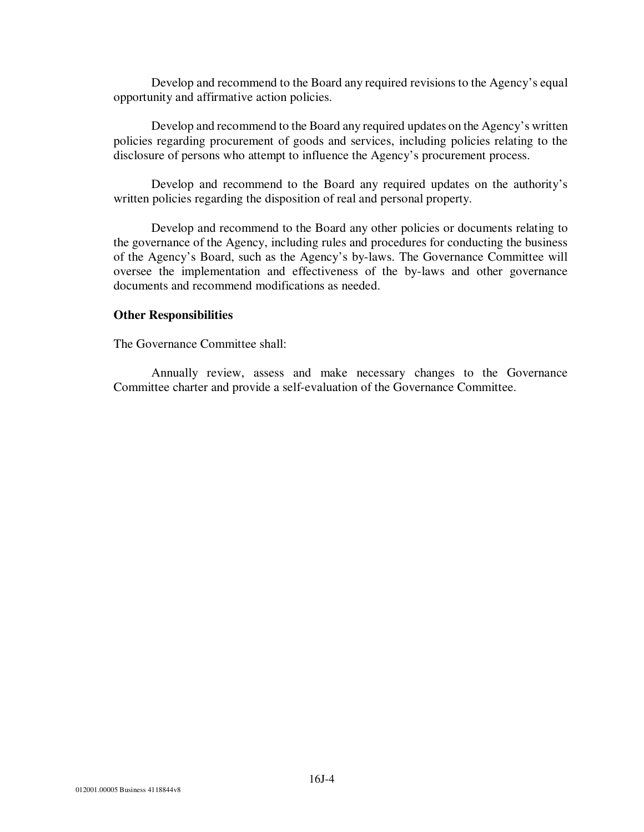Develop and recommend to the Board any required revisions to the Agency's equal opportunity and affirmative action policies.

Develop and recommend to the Board any required updates on the Agency's written policies regarding procurement of goods and services, including policies relating to the disclosure of persons who attempt to influence the Agency's procurement process.

Develop and recommend to the Board any required updates on the authority's written policies regarding the disposition of real and personal property.

Develop and recommend to the Board any other policies or documents relating to the governance of the Agency, including rules and procedures for conducting the business of the Agency's Board, such as the Agency's by-laws. The Governance Committee will oversee the implementation and effectiveness of the by-laws and other governance documents and recommend modifications as needed.

### **Other Responsibilities**

The Governance Committee shall:

Annually review, assess and make necessary changes to the Governance Committee charter and provide a self-evaluation of the Governance Committee.